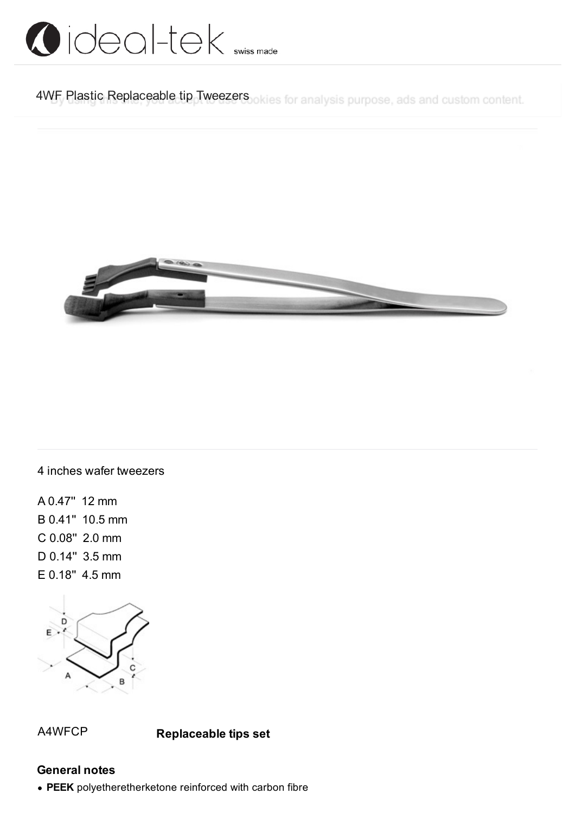

4WF Plastic Replaceable tip Tweezers okies for analysis purpose, ads and custom content.



4 inches wafer tweezers

A 0.47'' 12 mm B 0.41'' 10.5 mm C 0.08'' 2.0 mm D 0.14'' 3.5 mm E 0.18'' 4.5 mm



A4WFCP **Replaceable tips set**

#### **General notes**

**PEEK** polyetheretherketone reinforced with carbon fibre